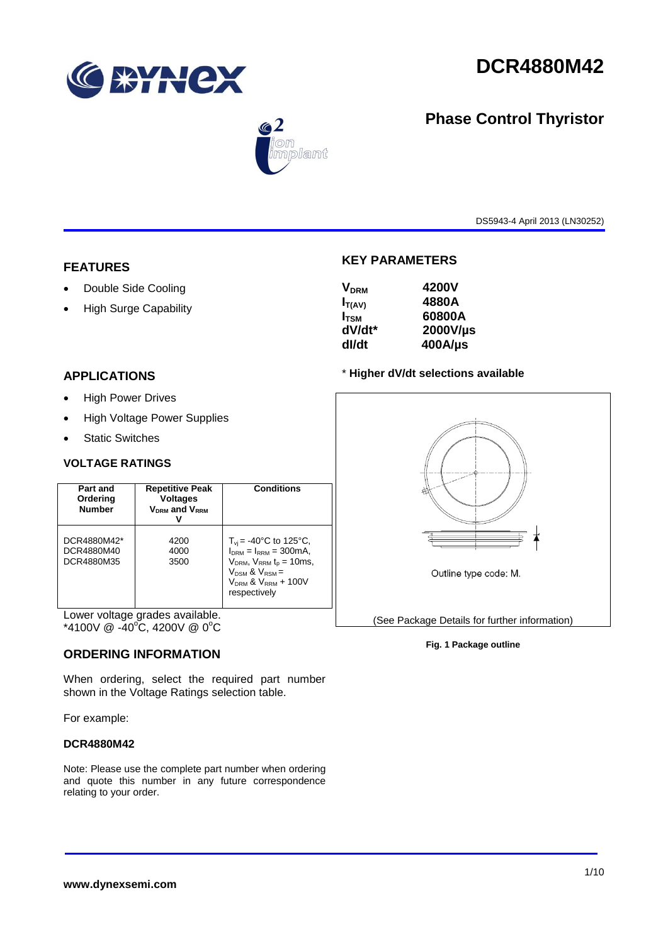

**Phase Control Thyristor**



# $\bigcirc$  2 mplant

DS5943-4 April 2013 (LN30252)

# **FEATURES**

- Double Side Cooling
- High Surge Capability

# **APPLICATIONS**

- High Power Drives
- High Voltage Power Supplies
- Static Switches

### **VOLTAGE RATINGS**

| Part and<br>Ordering<br><b>Number</b>   | <b>Repetitive Peak</b><br><b>Voltages</b><br>V <sub>DRM</sub> and V <sub>RRM</sub> | <b>Conditions</b>                                                                                                                                                             |
|-----------------------------------------|------------------------------------------------------------------------------------|-------------------------------------------------------------------------------------------------------------------------------------------------------------------------------|
| DCR4880M42*<br>DCR4880M40<br>DCR4880M35 | 4200<br>4000<br>3500                                                               | $T_{\rm vi}$ = -40°C to 125°C,<br>$IDRM = IRRM = 300mA.$<br>$VDRM$ , $VRRM$ t <sub>p</sub> = 10ms,<br>$V_{DSM}$ & $V_{RSM}$ =<br>$V_{DRM}$ & $V_{RRM}$ + 100V<br>respectively |

Lower voltage grades available. \*4100V  $@ -40\degree C$ , 4200V  $@ 0\degree C$ 

# **ORDERING INFORMATION**

When ordering, select the required part number shown in the Voltage Ratings selection table.

For example:

#### **DCR4880M42**

Note: Please use the complete part number when ordering and quote this number in any future correspondence relating to your order.



**dV/dt\* 2000V/µs**

**KEY PARAMETERS**

**VDRM 4200V IT(AV) 4880A I<sub>TSM</sub>** 60800A<br>dV/dt\* 2000V/L

**dI/dt 400A/µs**

(See Package Details for further information)

#### **Fig. 1 Package outline**

**www.dynexsemi.com**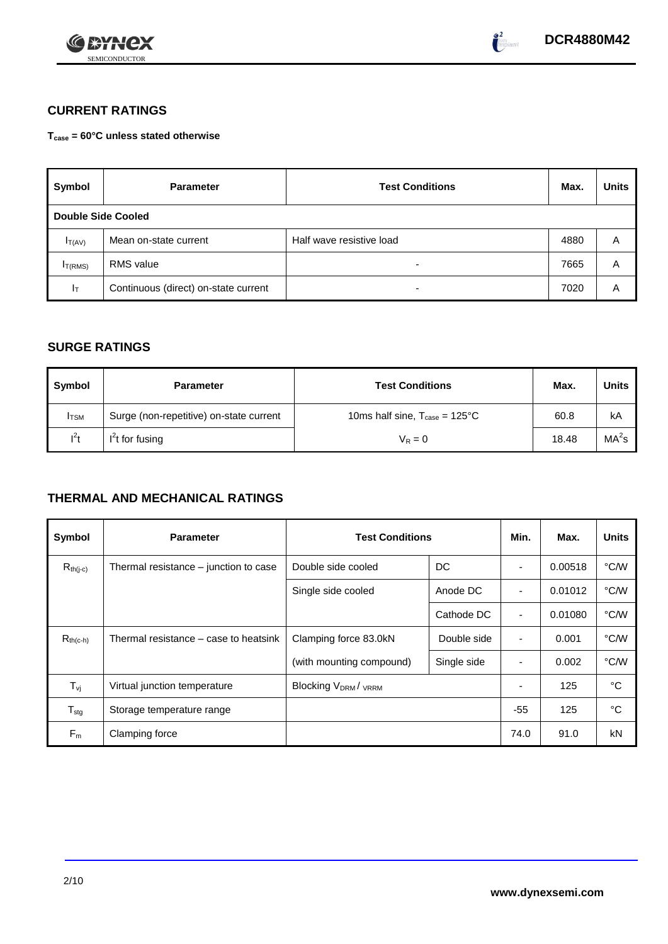



# **CURRENT RATINGS**

**Tcase = 60°C unless stated otherwise**

| Symbol                    | <b>Parameter</b>                     | <b>Test Conditions</b>   | Max. | <b>Units</b> |
|---------------------------|--------------------------------------|--------------------------|------|--------------|
| <b>Double Side Cooled</b> |                                      |                          |      |              |
| $I_{T(AV)}$               | Mean on-state current                | Half wave resistive load | 4880 | Α            |
| I <sub>T(RMS)</sub>       | <b>RMS</b> value                     | $\overline{\phantom{0}}$ | 7665 | A            |
| $I_T$                     | Continuous (direct) on-state current | $\overline{\phantom{a}}$ | 7020 | Α            |

# **SURGE RATINGS**

| Symbol       | <b>Parameter</b>                        | <b>Test Conditions</b>                           | Max.  | <b>Units</b>      |
|--------------|-----------------------------------------|--------------------------------------------------|-------|-------------------|
| <b>I</b> TSM | Surge (non-repetitive) on-state current | 10ms half sine, $T_{\text{case}} = 125^{\circ}C$ | 60.8  | kA                |
| $l^2t$       | $I2t$ for fusing                        | $V_R = 0$                                        | 18.48 | MA <sup>2</sup> s |

# **THERMAL AND MECHANICAL RATINGS**

| Symbol           | <b>Parameter</b>                      | <b>Test Conditions</b>                |             | Min.                     | Max.    | <b>Units</b> |
|------------------|---------------------------------------|---------------------------------------|-------------|--------------------------|---------|--------------|
| $R_{th(j-c)}$    | Thermal resistance – junction to case | Double side cooled                    | DC          |                          | 0.00518 | °C/W         |
|                  |                                       | Single side cooled                    | Anode DC    |                          | 0.01012 | °C/W         |
|                  |                                       |                                       | Cathode DC  | $\overline{\phantom{a}}$ | 0.01080 | °C/W         |
| $R_{th(c-h)}$    | Thermal resistance – case to heatsink | Clamping force 83.0kN                 | Double side | $\blacksquare$           | 0.001   | °C/W         |
|                  |                                       | (with mounting compound)              | Single side |                          | 0.002   | °C/W         |
| $T_{\rm vj}$     | Virtual junction temperature          | <b>Blocking V<sub>DRM</sub>/ VRRM</b> |             |                          | 125     | °C           |
| $T_{\text{stg}}$ | Storage temperature range             |                                       |             | $-55$                    | 125     | °C           |
| $F_m$            | Clamping force                        |                                       |             | 74.0                     | 91.0    | kN           |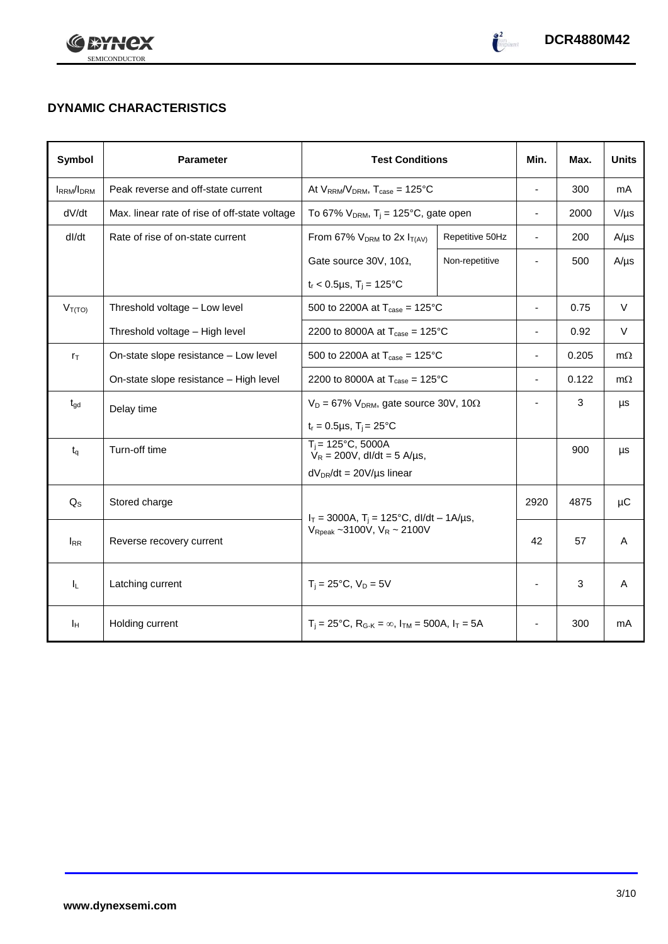



# **DYNAMIC CHARACTERISTICS**

| Symbol            | <b>Parameter</b>                              | <b>Test Conditions</b>                                                                            |                 | Min.                     | Max.  | <b>Units</b> |
|-------------------|-----------------------------------------------|---------------------------------------------------------------------------------------------------|-----------------|--------------------------|-------|--------------|
| <b>IRRM</b> /IDRM | Peak reverse and off-state current            | At $V_{RRM}/V_{DRM}$ , $T_{case} = 125^{\circ}C$                                                  |                 | ÷,                       | 300   | mA           |
| dV/dt             | Max. linear rate of rise of off-state voltage | To 67% $V_{DRM}$ , T <sub>j</sub> = 125°C, gate open                                              |                 | $\overline{\phantom{0}}$ | 2000  | $V/\mu s$    |
| dl/dt             | Rate of rise of on-state current              | From 67% $V_{DRM}$ to 2x $I_{T(AV)}$                                                              | Repetitive 50Hz | $\overline{\phantom{a}}$ | 200   | $A/\mu s$    |
|                   |                                               | Gate source 30V, 10 $\Omega$ ,                                                                    | Non-repetitive  |                          | 500   | $A/\mu s$    |
|                   |                                               | $t_r$ < 0.5µs, T <sub>i</sub> = 125°C                                                             |                 |                          |       |              |
| $V_{T(TO)}$       | Threshold voltage - Low level                 | 500 to 2200A at $T_{\text{case}} = 125^{\circ}C$                                                  |                 | $\blacksquare$           | 0.75  | $\vee$       |
|                   | Threshold voltage - High level                | 2200 to 8000A at $T_{\text{case}} = 125^{\circ}C$                                                 |                 | ä,                       | 0.92  | $\vee$       |
| $r_{\text{T}}$    | On-state slope resistance - Low level         | 500 to 2200A at $T_{\text{case}} = 125^{\circ}C$                                                  |                 | ä,                       | 0.205 | $m\Omega$    |
|                   | On-state slope resistance - High level        | 2200 to 8000A at $T_{\text{case}} = 125^{\circ}C$                                                 |                 | $\overline{\phantom{0}}$ | 0.122 | $m\Omega$    |
| $t_{gd}$          | Delay time                                    | $V_D = 67\%$ V <sub>DRM</sub> , gate source 30V, 10 $\Omega$                                      |                 |                          | 3     | μs           |
|                   |                                               | $t_r = 0.5 \mu s$ , $T_i = 25^{\circ}C$                                                           |                 |                          |       |              |
| $t_{q}$           | Turn-off time                                 | $T_i = 125^{\circ}C$ , 5000A<br>$V_R = 200V$ , dl/dt = 5 A/µs,                                    |                 |                          | 900   | μs           |
|                   |                                               | $dV_{DR}/dt = 20V/\mu s$ linear                                                                   |                 |                          |       |              |
| $Q_{S}$           | Stored charge                                 | $I_T = 3000A$ , $T_i = 125^{\circ}C$ , dl/dt - 1A/µs,<br>$V_{\text{Rpeak}}$ ~3100V, $V_R$ ~ 2100V |                 | 2920                     | 4875  | μC           |
| $I_{RR}$          | Reverse recovery current                      |                                                                                                   |                 | 42                       | 57    | A            |
| $I_L$             | Latching current                              | $T_i = 25^{\circ}C$ , $V_D = 5V$                                                                  |                 | ä,                       | 3     | A            |
| Īн                | Holding current                               | $T_i = 25^{\circ}C$ , $R_{G-K} = \infty$ , $I_{TM} = 500A$ , $I_T = 5A$                           |                 |                          | 300   | mA           |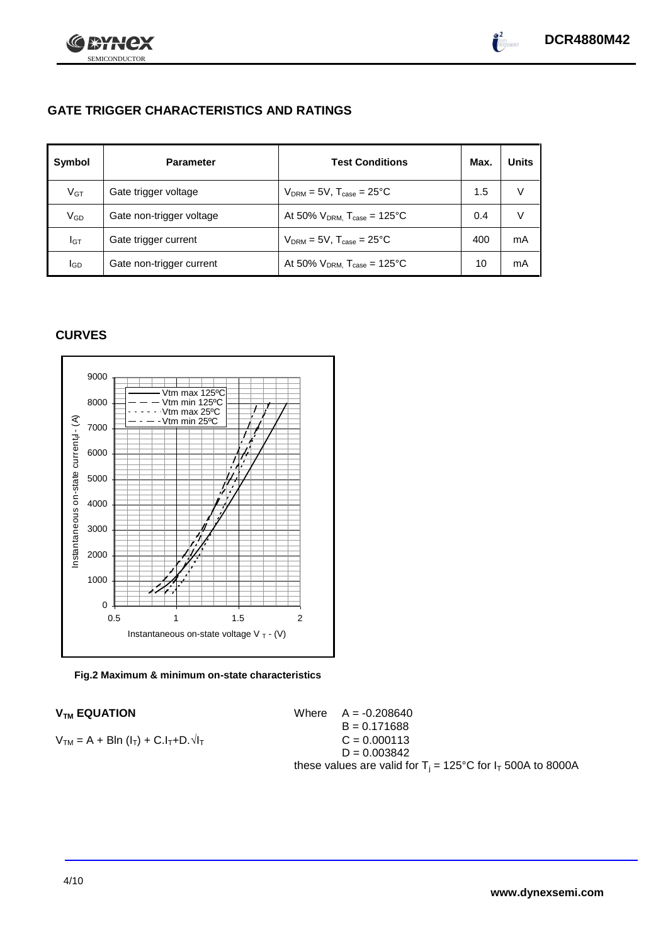



# **GATE TRIGGER CHARACTERISTICS AND RATINGS**

| Symbol       | <b>Parameter</b>         | <b>Test Conditions</b>                    | Max. | <b>Units</b> |
|--------------|--------------------------|-------------------------------------------|------|--------------|
| $V$ GT       | Gate trigger voltage     | $V_{DRM} = 5V$ , $T_{case} = 25^{\circ}C$ | 1.5  | v            |
| $\rm V_{GD}$ | Gate non-trigger voltage | At 50% $V_{DRM}$ , $T_{case}$ = 125°C     | 0.4  | V            |
| Iст          | Gate trigger current     | $V_{DRM} = 5V$ , $T_{case} = 25^{\circ}C$ | 400  | mA           |
| lgp          | Gate non-trigger current | At 50% $V_{DRM}$ , $T_{case}$ = 125°C     | 10   | mA           |

# **CURVES**



**Fig.2 Maximum & minimum on-state characteristics**

### **V<sub>TM</sub> EQUATION**

 $V_{TM} = A + BIn (I_T) + C.I_T + D.\sqrt{I_T}$ 

Where 
$$
A = -0.208640
$$

\n $B = 0.171688$ 

\n $C = 0.000113$ 

\n $D = 0.003842$ 

\nthese values are valid for  $T_j = 125^{\circ}$ C for  $I_T$  500A to 8000A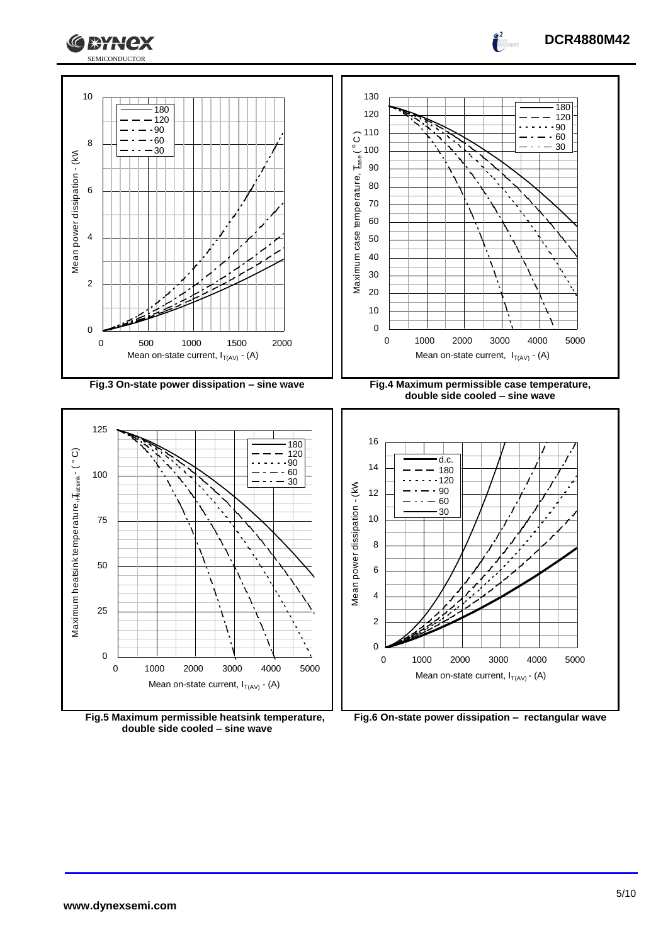

**Fig.5 Maximum permissible heatsink temperature, double side cooled – sine wave**

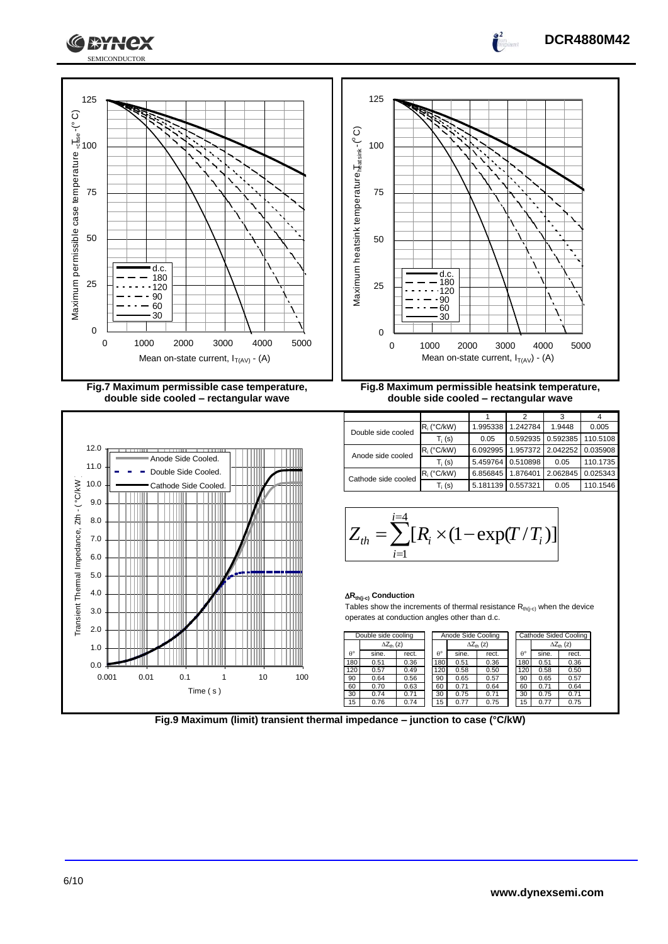





**Fig.9 Maximum (limit) transient thermal impedance – junction to case (°C/kW)**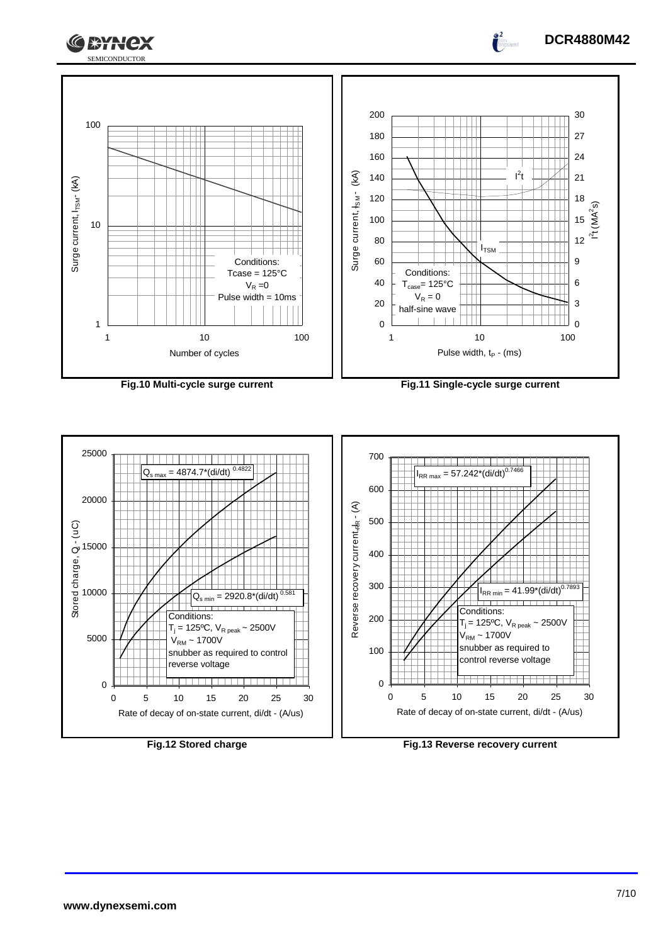





 $\int_0^2$ 

**DCR4880M42**



**Fig.12 Stored charge Fig.13 Reverse recovery current**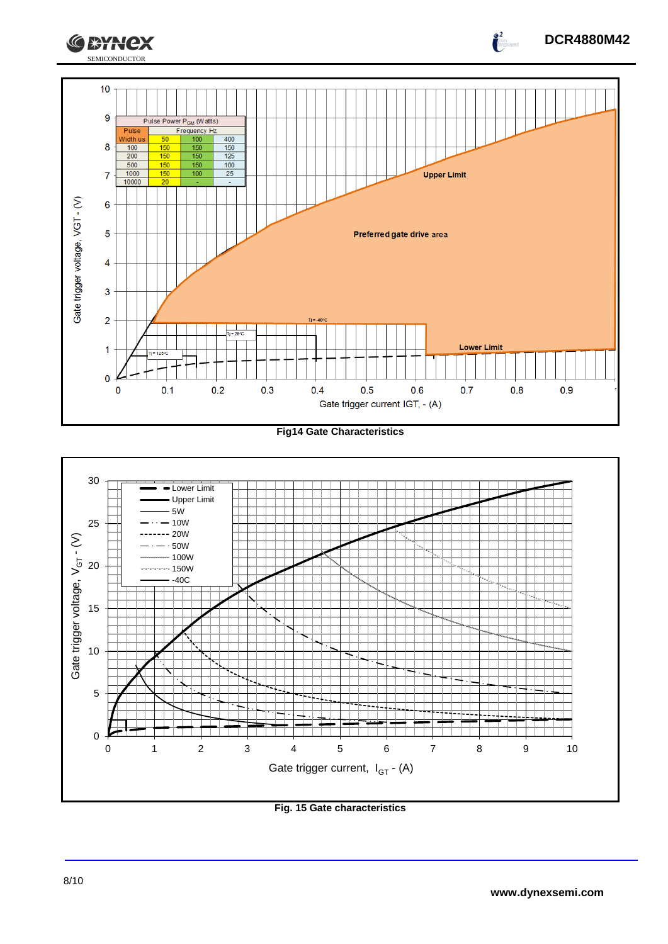

**Fig14 Gate Characteristics**



**Fig. 15 Gate characteristics**

**DCR4880M42**

 $\int_{0}^{2}$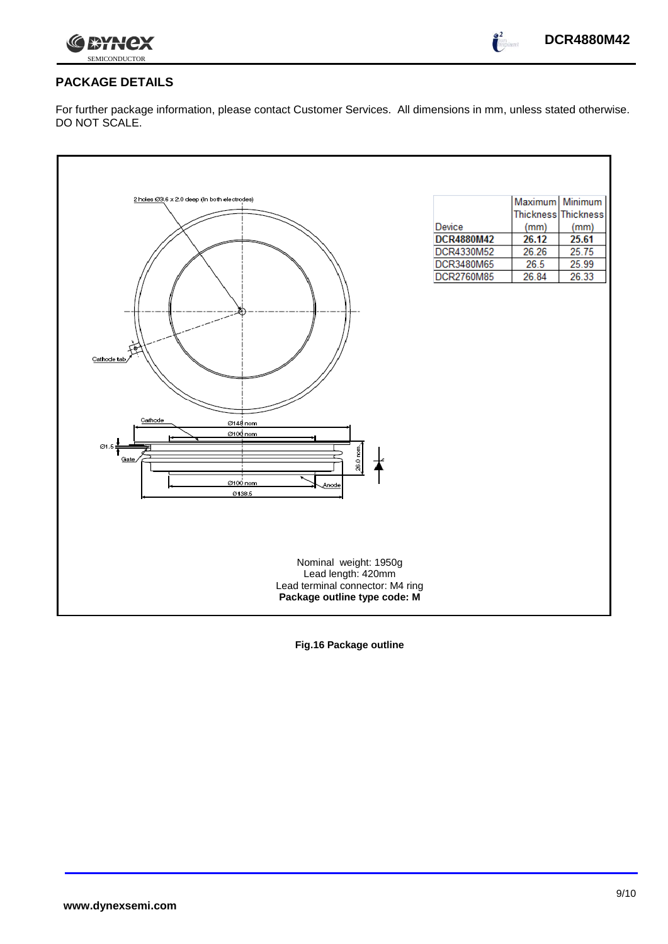



 $\int_{0}^{2}$ 

# **PACKAGE DETAILS**

For further package information, please contact Customer Services. All dimensions in mm, unless stated otherwise. DO NOT SCALE.

| 2 holes Ø3.6 x 2.0 deep (In both electrodes) |                   | Maximum Minimum     |       |
|----------------------------------------------|-------------------|---------------------|-------|
|                                              |                   | Thickness Thickness |       |
|                                              | Device            | (mm)                | (mm)  |
|                                              | <b>DCR4880M42</b> | 26.12               | 25.61 |
|                                              | DCR4330M52        | 26.26               | 25.75 |
|                                              | DCR3480M65        | 26.5                | 25.99 |
|                                              | DCR2760M85        | 26.84               | 26.33 |
|                                              |                   |                     |       |
|                                              |                   |                     |       |
|                                              |                   |                     |       |
|                                              |                   |                     |       |
|                                              |                   |                     |       |
|                                              |                   |                     |       |
| Cathode tab                                  |                   |                     |       |
|                                              |                   |                     |       |
|                                              |                   |                     |       |
|                                              |                   |                     |       |
| Cathode<br>Ø148 nom                          |                   |                     |       |
| Ø100 nom                                     |                   |                     |       |
| Ø1.5                                         |                   |                     |       |
| ,26.0 nom.<br>Gate                           |                   |                     |       |
|                                              |                   |                     |       |
| Ø100 nom<br>Anode                            |                   |                     |       |
| 0138.5                                       |                   |                     |       |
|                                              |                   |                     |       |
|                                              |                   |                     |       |
|                                              |                   |                     |       |
|                                              |                   |                     |       |
| Nominal weight: 1950g                        |                   |                     |       |
| Lead length: 420mm                           |                   |                     |       |
| Lead terminal connector: M4 ring             |                   |                     |       |
| Package outline type code: M                 |                   |                     |       |
|                                              |                   |                     |       |

**Fig.16 Package outline**